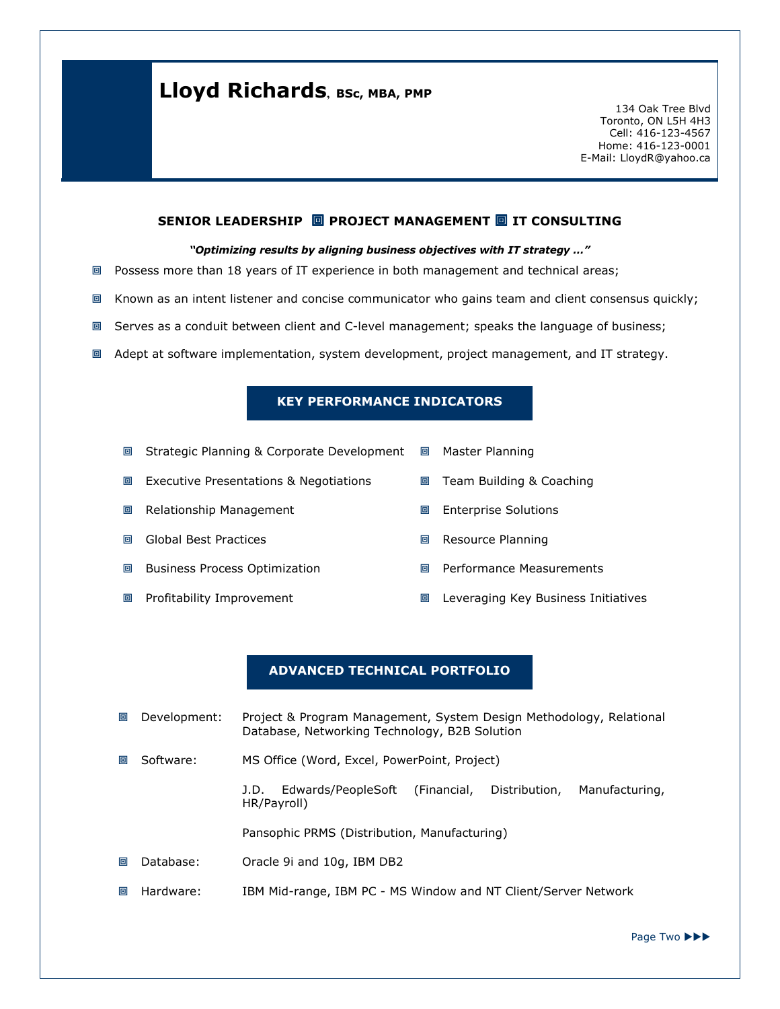## Lloyd Richards, BSc, MBA, PMP

134 Oak Tree Blvd Toronto, ON L5H 4H3 Cell: 416-123-4567 Home: 416-123-0001 E-Mail: LloydR@yahoo.ca

#### SENIOR LEADERSHIP  $\Box$  PROJECT MANAGEMENT  $\Box$  IT CONSULTING

#### "Optimizing results by aligning business objectives with IT strategy …"

- Possess more than 18 years of IT experience in both management and technical areas;
- Known as an intent listener and concise communicator who gains team and client consensus quickly;
- Serves as a conduit between client and C-level management; speaks the language of business;
- Adept at software implementation, system development, project management, and IT strategy.

#### KEY PERFORMANCE INDICATORS

| 回 | Strategic Planning & Corporate Development | 回 | Master Planning                     |
|---|--------------------------------------------|---|-------------------------------------|
| 回 | Executive Presentations & Negotiations     | 回 | Team Building & Coaching            |
| 回 | Relationship Management                    | 回 | <b>Enterprise Solutions</b>         |
| 回 | <b>Global Best Practices</b>               | 回 | Resource Planning                   |
| 回 | <b>Business Process Optimization</b>       | 回 | Performance Measurements            |
| 回 | Profitability Improvement                  | 回 | Leveraging Key Business Initiatives |

#### ADVANCED TECHNICAL PORTFOLIO

- **回 Development:** Project & Program Management, System Design Methodology, Relational Database, Networking Technology, B2B Solution
- **■** Software: MS Office (Word, Excel, PowerPoint, Project)

J.D. Edwards/PeopleSoft (Financial, Distribution, Manufacturing, HR/Payroll)

Pansophic PRMS (Distribution, Manufacturing)

- **M** Database: Oracle 9i and 10g, IBM DB2
- **ID Hardware: IBM Mid-range, IBM PC MS Window and NT Client/Server Network**

Page Two ▶▶▶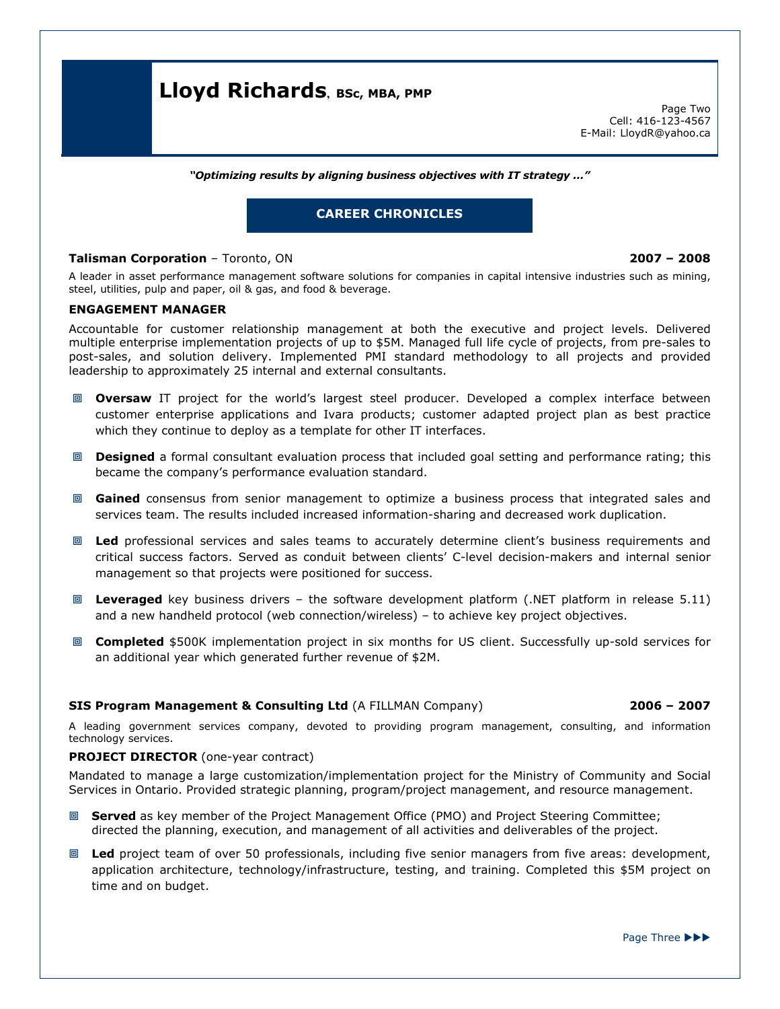## Lloyd Richards, BSc, MBA, PMP

Page Two Cell: 416-123-4567 E-Mail: LloydR@yahoo.ca

"Optimizing results by aligning business objectives with IT strategy …"

### CAREER CHRONICLES

#### Talisman Corporation – Toronto, ON 2007 – 2008

A leader in asset performance management software solutions for companies in capital intensive industries such as mining, steel, utilities, pulp and paper, oil & gas, and food & beverage.

#### ENGAGEMENT MANAGER

Accountable for customer relationship management at both the executive and project levels. Delivered multiple enterprise implementation projects of up to \$5M. Managed full life cycle of projects, from pre-sales to post-sales, and solution delivery. Implemented PMI standard methodology to all projects and provided leadership to approximately 25 internal and external consultants.

- **Dversaw** IT project for the world's largest steel producer. Developed a complex interface between customer enterprise applications and Ivara products; customer adapted project plan as best practice which they continue to deploy as a template for other IT interfaces.
- **Designed** a formal consultant evaluation process that included goal setting and performance rating; this became the company's performance evaluation standard.
- **E** Gained consensus from senior management to optimize a business process that integrated sales and services team. The results included increased information-sharing and decreased work duplication.
- **IDE Led** professional services and sales teams to accurately determine client's business requirements and critical success factors. Served as conduit between clients' C-level decision-makers and internal senior management so that projects were positioned for success.
- **I.** Leveraged key business drivers the software development platform (.NET platform in release 5.11) and a new handheld protocol (web connection/wireless) – to achieve key project objectives.
- **If Completed** \$500K implementation project in six months for US client. Successfully up-sold services for an additional year which generated further revenue of \$2M.

#### SIS Program Management & Consulting Ltd (A FILLMAN Company) 2006 – 2007

A leading government services company, devoted to providing program management, consulting, and information technology services.

#### PROJECT DIRECTOR (one-year contract)

Mandated to manage a large customization/implementation project for the Ministry of Community and Social Services in Ontario. Provided strategic planning, program/project management, and resource management.

- **If Served** as key member of the Project Management Office (PMO) and Project Steering Committee; directed the planning, execution, and management of all activities and deliverables of the project.
- Led project team of over 50 professionals, including five senior managers from five areas: development, application architecture, technology/infrastructure, testing, and training. Completed this \$5M project on time and on budget.